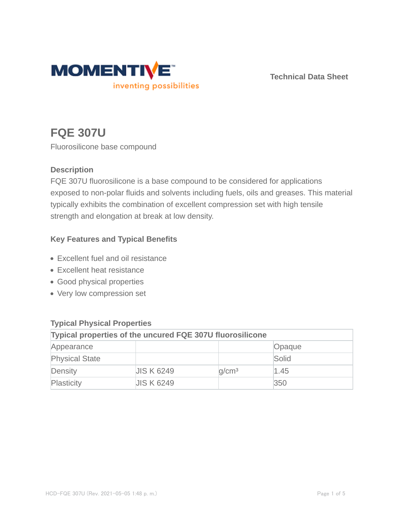

**Technical Data Sheet**

# **FQE 307U**

Fluorosilicone base compound

## **Description**

FQE 307U fluorosilicone is a base compound to be considered for applications exposed to non-polar fluids and solvents including fuels, oils and greases. This material typically exhibits the combination of excellent compression set with high tensile strength and elongation at break at low density.

## **Key Features and Typical Benefits**

- Excellent fuel and oil resistance
- Excellent heat resistance
- Good physical properties
- Very low compression set

| $\cdots$                                                  |                   |                   |        |  |  |
|-----------------------------------------------------------|-------------------|-------------------|--------|--|--|
| Typical properties of the uncured FQE 307U fluorosilicone |                   |                   |        |  |  |
| Appearance                                                |                   |                   | Opaque |  |  |
| <b>Physical State</b>                                     |                   |                   | Solid  |  |  |
| Density                                                   | <b>JIS K 6249</b> | q/cm <sup>3</sup> | 1.45   |  |  |
| Plasticity                                                | <b>JIS K 6249</b> |                   | 350    |  |  |

# **Typical Physical Properties**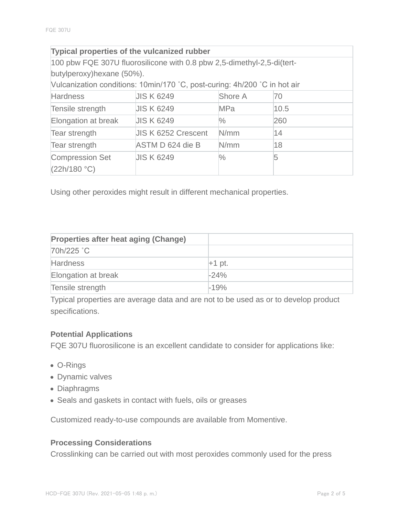| Typical properties of the vulcanized rubber                               |                            |               |      |  |  |  |
|---------------------------------------------------------------------------|----------------------------|---------------|------|--|--|--|
| 100 pbw FQE 307U fluorosilicone with 0.8 pbw 2,5-dimethyl-2,5-di(tert-    |                            |               |      |  |  |  |
| butylperoxy) hexane (50%).                                                |                            |               |      |  |  |  |
| Vulcanization conditions: 10min/170 °C, post-curing: 4h/200 °C in hot air |                            |               |      |  |  |  |
| <b>Hardness</b>                                                           | <b>JIS K 6249</b>          | Shore A       | 70   |  |  |  |
| Tensile strength                                                          | <b>JIS K 6249</b>          | <b>MPa</b>    | 10.5 |  |  |  |
| Elongation at break                                                       | <b>JIS K 6249</b>          | $\%$          | 260  |  |  |  |
| Tear strength                                                             | <b>JIS K 6252 Crescent</b> | N/mm          | 14   |  |  |  |
| Tear strength                                                             | ASTM D 624 die B           | N/mm          | 18   |  |  |  |
| <b>Compression Set</b><br>(22h/180 °C)                                    | <b>JIS K 6249</b>          | $\frac{0}{0}$ | 5    |  |  |  |

Using other peroxides might result in different mechanical properties.

| Properties after heat aging (Change) |          |
|--------------------------------------|----------|
| 70h/225 °C                           |          |
| <b>Hardness</b>                      | $+1$ pt. |
| Elongation at break                  | $-24%$   |
| Tensile strength                     | $-19%$   |

Typical properties are average data and are not to be used as or to develop product specifications.

#### **Potential Applications**

FQE 307U fluorosilicone is an excellent candidate to consider for applications like:

- O-Rings
- Dynamic valves
- Diaphragms
- Seals and gaskets in contact with fuels, oils or greases

Customized ready-to-use compounds are available from Momentive.

#### **Processing Considerations**

Crosslinking can be carried out with most peroxides commonly used for the press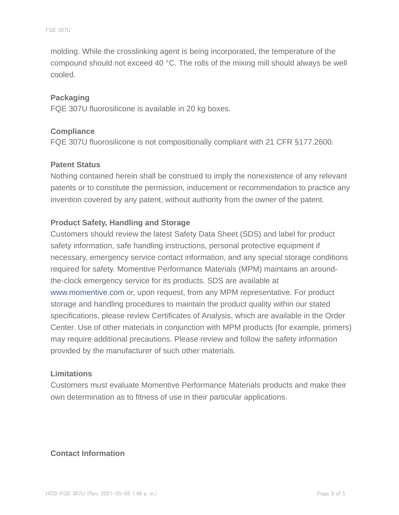molding. While the crosslinking agent is being incorporated, the temperature of the compound should not exceed 40 °C. The rolls of the mixing mill should always be well cooled.

#### **Packaging**

FQE 307U fluorosilicone is available in 20 kg boxes.

#### **Compliance**

FQE 307U fluorosilicone is not compositionally compliant with 21 CFR §177.2600.

#### **Patent Status**

Nothing contained herein shall be construed to imply the nonexistence of any relevant patents or to constitute the permission, inducement or recommendation to practice any invention covered by any patent, without authority from the owner of the patent.

#### **Product Safety, Handling and Storage**

Customers should review the latest Safety Data Sheet (SDS) and label for product safety information, safe handling instructions, personal protective equipment if necessary, emergency service contact information, and any special storage conditions required for safety. Momentive Performance Materials (MPM) maintains an aroundthe-clock emergency service for its products. SDS are available at www.momentive.com or, upon request, from any MPM representative. For product storage and handling procedures to maintain the product quality within our stated specifications, please review Certificates of Analysis, which are available in the Order Center. Use of other materials in conjunction with MPM products (for example, primers) may require additional precautions. Please review and follow the safety information provided by the manufacturer of such other materials.

#### **Limitations**

Customers must evaluate Momentive Performance Materials products and make their own determination as to fitness of use in their particular applications.

#### **Contact Information**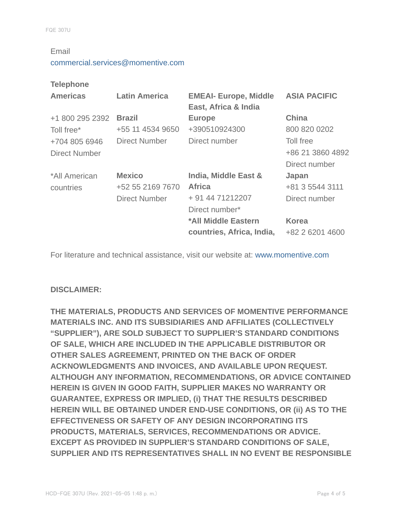#### Email

#### commercial.services@momentive.com

#### **Telephone**

| <b>Americas</b>      | <b>Latin America</b> | <b>EMEAI- Europe, Middle</b><br>East, Africa & India | <b>ASIA PACIFIC</b> |
|----------------------|----------------------|------------------------------------------------------|---------------------|
| +1 800 295 2392      | <b>Brazil</b>        | <b>Europe</b>                                        | <b>China</b>        |
| Toll free*           | +55 11 4534 9650     | +390510924300                                        | 800 820 0202        |
| +704 805 6946        | Direct Number        | Direct number                                        | Toll free           |
| <b>Direct Number</b> |                      |                                                      | +86 21 3860 4892    |
|                      |                      |                                                      | Direct number       |
| *All American        | <b>Mexico</b>        | India, Middle East &                                 | Japan               |
| countries            | +52 55 2169 7670     | <b>Africa</b>                                        | +81 3 5544 3111     |
|                      | <b>Direct Number</b> | + 91 44 71212207                                     | Direct number       |
|                      |                      | Direct number*                                       |                     |
|                      |                      | *All Middle Eastern                                  | <b>Korea</b>        |
|                      |                      | countries, Africa, India,                            | +82 2 6201 4600     |

For literature and technical assistance, visit our website at: www.momentive.com

#### **DISCLAIMER:**

**THE MATERIALS, PRODUCTS AND SERVICES OF MOMENTIVE PERFORMANCE MATERIALS INC. AND ITS SUBSIDIARIES AND AFFILIATES (COLLECTIVELY "SUPPLIER"), ARE SOLD SUBJECT TO SUPPLIER'S STANDARD CONDITIONS OF SALE, WHICH ARE INCLUDED IN THE APPLICABLE DISTRIBUTOR OR OTHER SALES AGREEMENT, PRINTED ON THE BACK OF ORDER ACKNOWLEDGMENTS AND INVOICES, AND AVAILABLE UPON REQUEST. ALTHOUGH ANY INFORMATION, RECOMMENDATIONS, OR ADVICE CONTAINED HEREIN IS GIVEN IN GOOD FAITH, SUPPLIER MAKES NO WARRANTY OR GUARANTEE, EXPRESS OR IMPLIED, (i) THAT THE RESULTS DESCRIBED HEREIN WILL BE OBTAINED UNDER END-USE CONDITIONS, OR (ii) AS TO THE EFFECTIVENESS OR SAFETY OF ANY DESIGN INCORPORATING ITS PRODUCTS, MATERIALS, SERVICES, RECOMMENDATIONS OR ADVICE. EXCEPT AS PROVIDED IN SUPPLIER'S STANDARD CONDITIONS OF SALE, SUPPLIER AND ITS REPRESENTATIVES SHALL IN NO EVENT BE RESPONSIBLE**